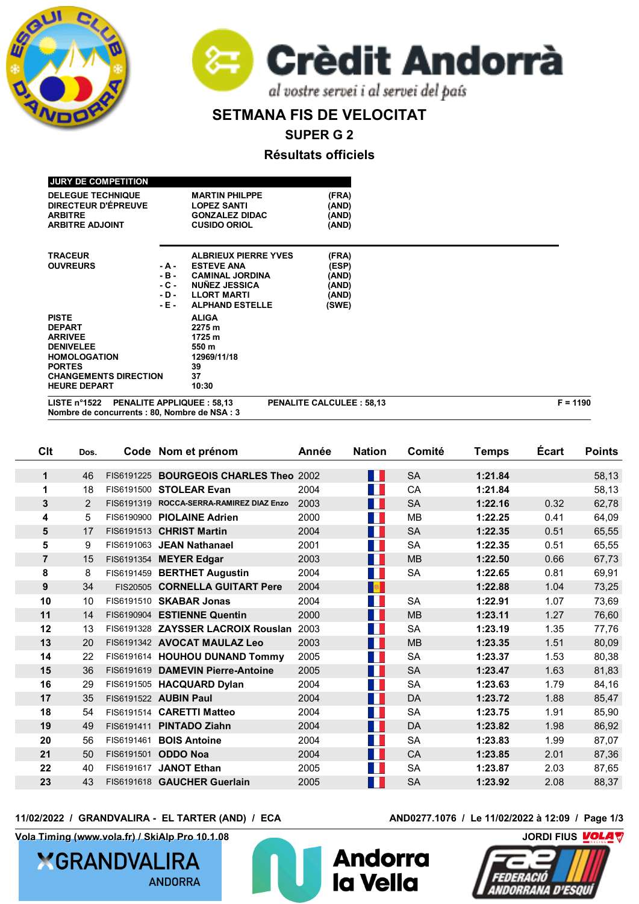



## **SETMANA FIS DE VELOCITAT**

**SUPER G 2**

**Résultats officiels**

| LISTE $n^{\circ}1522$<br>Nombre de concurrents : 80, Nombre de NSA : 3 |        | <b>PENALITE APPLIQUEE: 58,13</b> | <b>PENALITE CALCULEE: 58,13</b> | $F = 1190$ |
|------------------------------------------------------------------------|--------|----------------------------------|---------------------------------|------------|
| <b>HEURE DEPART</b>                                                    |        | 10:30                            |                                 |            |
| <b>CHANGEMENTS DIRECTION</b>                                           |        | 37                               |                                 |            |
| <b>PORTES</b>                                                          |        | 39                               |                                 |            |
| <b>HOMOLOGATION</b>                                                    |        | 12969/11/18                      |                                 |            |
| <b>DENIVELEE</b>                                                       |        | 550 m                            |                                 |            |
| <b>ARRIVEE</b>                                                         |        | 1725 m                           |                                 |            |
| <b>DEPART</b>                                                          |        | 2275 m                           |                                 |            |
| <b>PISTE</b>                                                           |        | <b>ALIGA</b>                     |                                 |            |
|                                                                        | $-E$ - | <b>ALPHAND ESTELLE</b>           | (SWE)                           |            |
|                                                                        | $-D -$ | <b>LLORT MARTI</b>               | (AND)                           |            |
|                                                                        | $-C -$ | <b>NUÑEZ JESSICA</b>             | (AND)                           |            |
|                                                                        | $-B -$ | <b>CAMINAL JORDINA</b>           | (AND)                           |            |
| <b>OUVREURS</b>                                                        | - A -  | <b>ESTEVE ANA</b>                | (ESP)                           |            |
| <b>TRACEUR</b>                                                         |        | <b>ALBRIEUX PIERRE YVES</b>      | (FRA)                           |            |
|                                                                        |        |                                  |                                 |            |
| <b>ARBITRE ADJOINT</b>                                                 |        | <b>CUSIDO ORIOL</b>              | (AND)                           |            |
| <b>ARBITRE</b>                                                         |        | <b>GONZALEZ DIDAC</b>            | (AND)                           |            |
| DIRECTEUR D'ÉPREUVE                                                    |        | <b>LOPEZ SANTI</b>               | (AND)                           |            |
| <b>DELEGUE TECHNIQUE</b>                                               |        | <b>MARTIN PHILPPE</b>            | (FRA)                           |            |
|                                                                        |        |                                  |                                 |            |

| Clt            | Dos. |            | Code Nom et prénom                       | Année | <b>Nation</b>               | Comité    | <b>Temps</b> | <b>Écart</b> | <b>Points</b> |
|----------------|------|------------|------------------------------------------|-------|-----------------------------|-----------|--------------|--------------|---------------|
| 1              | 46   | FIS6191225 | <b>BOURGEOIS CHARLES Theo 2002</b>       |       | H                           | <b>SA</b> | 1:21.84      |              | 58,13         |
| 1              | 18   | FIS6191500 | <b>STOLEAR Evan</b>                      | 2004  | M.                          | CA        | 1:21.84      |              | 58,13         |
| 3              | 2    |            | FIS6191319 ROCCA-SERRA-RAMIREZ DIAZ Enzo | 2003  | M.                          | <b>SA</b> | 1:22.16      | 0.32         | 62,78         |
| 4              | 5    |            | FIS6190900 PIOLAINE Adrien               | 2000  | $\sim 10$                   | <b>MB</b> | 1:22.25      | 0.41         | 64,09         |
| 5              | 17   |            | FIS6191513 CHRIST Martin                 | 2004  | H                           | <b>SA</b> | 1:22.35      | 0.51         | 65,55         |
| 5              | 9    | FIS6191063 | <b>JEAN Nathanael</b>                    | 2001  | M.                          | SA        | 1:22.35      | 0.51         | 65,55         |
| $\overline{7}$ | 15   |            | FIS6191354 MEYER Edgar                   | 2003  | M.                          | <b>MB</b> | 1:22.50      | 0.66         | 67,73         |
| 8              | 8    |            | FIS6191459 BERTHET Augustin              | 2004  | M.                          | <b>SA</b> | 1:22.65      | 0.81         | 69,91         |
| 9              | 34   |            | FIS20505 CORNELLA GUITART Pere           | 2004  | <b>R</b>                    |           | 1:22.88      | 1.04         | 73,25         |
| 10             | 10   |            | FIS6191510 SKABAR Jonas                  | 2004  | M.                          | <b>SA</b> | 1:22.91      | 1.07         | 73,69         |
| 11             | 14   |            | FIS6190904 ESTIENNE Quentin              | 2000  | $\blacksquare$              | <b>MB</b> | 1:23.11      | 1.27         | 76,60         |
| 12             | 13   |            | FIS6191328 ZAYSSER LACROIX Rouslan       | 2003  | $\mathcal{L}_{\mathcal{A}}$ | SA        | 1:23.19      | 1.35         | 77,76         |
| 13             | 20   |            | FIS6191342 AVOCAT MAULAZ Leo             | 2003  | <b>Mar</b>                  | <b>MB</b> | 1:23.35      | 1.51         | 80,09         |
| 14             | 22   |            | FIS6191614 HOUHOU DUNAND Tommy           | 2005  | $\mathcal{O}(\mathbb{R}^d)$ | SA        | 1:23.37      | 1.53         | 80,38         |
| 15             | 36   |            | FIS6191619 DAMEVIN Pierre-Antoine        | 2005  | M.                          | <b>SA</b> | 1:23.47      | 1.63         | 81,83         |
| 16             | 29   |            | FIS6191505 HACQUARD Dylan                | 2004  | M.                          | SA        | 1:23.63      | 1.79         | 84,16         |
| 17             | 35   |            | FIS6191522 AUBIN Paul                    | 2004  | <b>TELEVISION</b>           | <b>DA</b> | 1:23.72      | 1.88         | 85,47         |
| 18             | 54   |            | FIS6191514 CARETTI Matteo                | 2004  | M.                          | <b>SA</b> | 1:23.75      | 1.91         | 85,90         |
| 19             | 49   | FIS6191411 | <b>PINTADO Ziahn</b>                     | 2004  | <b>TAN</b>                  | DA        | 1:23.82      | 1.98         | 86,92         |
| 20             | 56   | FIS6191461 | <b>BOIS Antoine</b>                      | 2004  | M.                          | <b>SA</b> | 1:23.83      | 1.99         | 87,07         |
| 21             | 50   | FIS6191501 | <b>ODDO Noa</b>                          | 2004  | $\blacksquare$              | CA        | 1:23.85      | 2.01         | 87,36         |
| 22             | 40   | FIS6191617 | <b>JANOT Ethan</b>                       | 2005  | <b>TI</b>                   | SA        | 1:23.87      | 2.03         | 87,65         |
| 23             | 43   |            | FIS6191618 GAUCHER Guerlain              | 2005  | W                           | <b>SA</b> | 1:23.92      | 2.08         | 88,37         |

**11/02/2022 / GRANDVALIRA - EL TARTER (AND) / ECA AND0277.1076 / Le 11/02/2022 à 12:09 / Page 1/3**

**Vola Timing (www.vola.fr) / SkiAlp Pro 10.1.08 CONDITED ASSESSMENT OF THE SKIALP OF THE SKIALP OF THE SKIALP OF THE SKIALP OF THE SKIALP OF THE SKIALP OF THE SKIALP OF THE SKIALP OF THE SKIALP OF THE SKIALP OF THE SKIAL** 

**XGRANDVALIRA ANDORRA** 



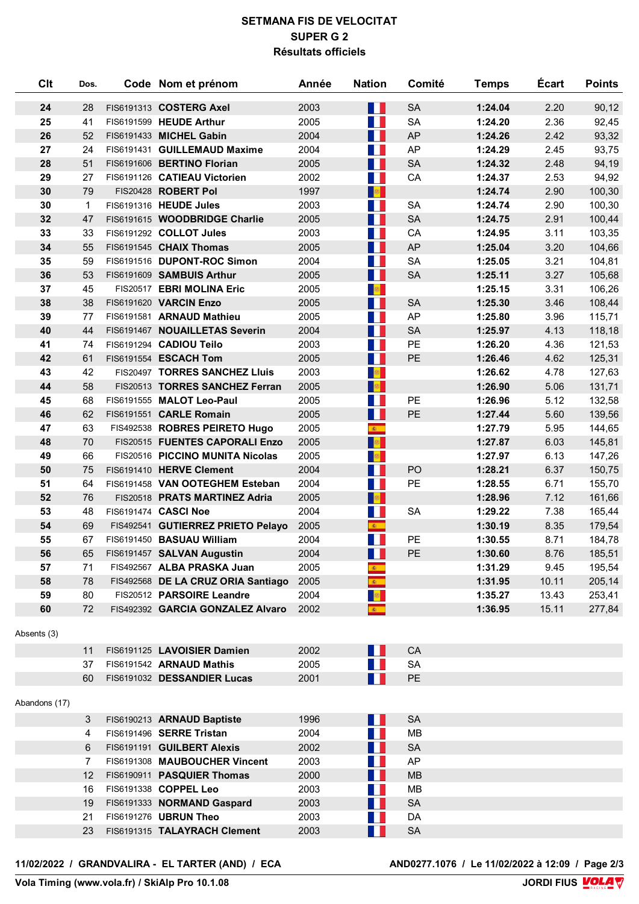## **SETMANA FIS DE VELOCITAT SUPER G 2 Résultats officiels**

| Clt           | Dos.            | Code Nom et prénom                 | Année | <b>Nation</b>                | Comité    | <b>Temps</b> | <b>Ecart</b> | <b>Points</b> |
|---------------|-----------------|------------------------------------|-------|------------------------------|-----------|--------------|--------------|---------------|
| 24            | 28              | FIS6191313 COSTERG Axel            | 2003  | M.                           | <b>SA</b> | 1:24.04      | 2.20         | 90,12         |
| 25            | 41              | FIS6191599 HEUDE Arthur            | 2005  | m.                           | <b>SA</b> | 1:24.20      | 2.36         | 92,45         |
| 26            | 52              | FIS6191433 MICHEL Gabin            | 2004  | M.                           | <b>AP</b> | 1:24.26      | 2.42         | 93,32         |
| 27            | 24              | FIS6191431 GUILLEMAUD Maxime       | 2004  | M.                           | AP        | 1:24.29      | 2.45         | 93,75         |
| 28            | 51              | FIS6191606 BERTINO Florian         | 2005  | a pr                         | <b>SA</b> | 1:24.32      | 2.48         | 94,19         |
| 29            | 27              | FIS6191126 CATIEAU Victorien       | 2002  | a pr                         | CA        | 1:24.37      | 2.53         | 94,92         |
| 30            | 79              | FIS20428 ROBERT Pol                | 1997  | <b>B</b>                     |           | 1:24.74      | 2.90         | 100,30        |
| 30            | $\mathbf{1}$    | FIS6191316 HEUDE Jules             | 2003  | M.                           | SA        | 1:24.74      | 2.90         | 100,30        |
| 32            | 47              | FIS6191615 WOODBRIDGE Charlie      | 2005  | M.                           | <b>SA</b> | 1:24.75      | 2.91         | 100,44        |
| 33            | 33              | FIS6191292 COLLOT Jules            | 2003  | M.                           | CA        | 1:24.95      | 3.11         | 103,35        |
| 34            | 55              | FIS6191545 CHAIX Thomas            | 2005  | M.                           | AP        | 1:25.04      | 3.20         | 104,66        |
| 35            | 59              | FIS6191516 DUPONT-ROC Simon        | 2004  | a ka                         | <b>SA</b> | 1:25.05      | 3.21         | 104,81        |
| 36            | 53              | FIS6191609 SAMBUIS Arthur          | 2005  | a pr                         | <b>SA</b> | 1:25.11      | 3.27         | 105,68        |
| 37            | 45              | FIS20517 EBRI MOLINA Eric          | 2005  | a <mark>se</mark>            |           | 1:25.15      | 3.31         | 106,26        |
| 38            | 38              | FIS6191620 VARCIN Enzo             | 2005  | M.                           | <b>SA</b> | 1:25.30      | 3.46         | 108,44        |
| 39            | 77              | FIS6191581 ARNAUD Mathieu          | 2005  | M.                           | <b>AP</b> | 1:25.80      | 3.96         | 115,71        |
| 40            | 44              | FIS6191467 NOUAILLETAS Severin     | 2004  | a pr                         | <b>SA</b> | 1:25.97      | 4.13         | 118,18        |
| 41            | 74              | FIS6191294 CADIOU Teilo            | 2003  | a pr                         | PE        | 1:26.20      | 4.36         | 121,53        |
| 42            | 61              | FIS6191554 ESCACH Tom              | 2005  | a pr                         | PE        | 1:26.46      | 4.62         | 125,31        |
| 43            | 42              | FIS20497 TORRES SANCHEZ Lluis      | 2003  | a <mark>s</mark> i           |           | 1:26.62      | 4.78         | 127,63        |
| 44            | 58              | FIS20513 TORRES SANCHEZ Ferran     | 2005  | <b>R</b>                     |           | 1:26.90      | 5.06         | 131,71        |
| 45            | 68              | FIS6191555 MALOT Leo-Paul          | 2005  | H                            | PE        | 1:26.96      | 5.12         | 132,58        |
| 46            | 62              | FIS6191551 CARLE Romain            | 2005  | M.                           | PE        | 1:27.44      | 5.60         | 139,56        |
| 47            | 63              | FIS492538 ROBRES PEIRETO Hugo      | 2005  | $\mathcal{R}^{\pm}$          |           | 1:27.79      | 5.95         | 144,65        |
| 48            | 70              | FIS20515 FUENTES CAPORALI Enzo     | 2005  | a <mark>s</mark> i           |           | 1:27.87      | 6.03         | 145,81        |
| 49            | 66              | FIS20516 PICCINO MUNITA Nicolas    | 2005  | 做                            |           | 1:27.97      | 6.13         | 147,26        |
| 50            | 75              | FIS6191410 HERVE Clement           | 2004  | M.                           | PO        | 1:28.21      | 6.37         | 150,75        |
| 51            | 64              | FIS6191458 VAN OOTEGHEM Esteban    | 2004  | M.                           | PE        | 1:28.55      | 6.71         | 155,70        |
| 52            | 76              | FIS20518 PRATS MARTINEZ Adria      | 2005  | <b>B</b>                     |           | 1:28.96      | 7.12         | 161,66        |
| 53            | 48              | FIS6191474 CASCI Noe               | 2004  | <b>TER</b>                   | <b>SA</b> | 1:29.22      | 7.38         | 165,44        |
| 54            | 69              | FIS492541 GUTIERREZ PRIETO Pelayo  | 2005  | $\bullet$                    |           | 1:30.19      | 8.35         | 179,54        |
| 55            | 67              | FIS6191450 BASUAU William          | 2004  | H.                           | PE        | 1:30.55      | 8.71         | 184,78        |
| 56            | 65              | FIS6191457 SALVAN Augustin         | 2004  | a l                          | PE        | 1:30.60      | 8.76         | 185,51        |
| 57            | 71              | FIS492567 ALBA PRASKA Juan         | 2005  | $\mathcal{R}_{\mathrm{max}}$ |           | 1:31.29      | 9.45         | 195,54        |
| 58            | 78              | FIS492568 DE LA CRUZ ORIA Santiago | 2005  | $\mathcal{R}^+$              |           | 1:31.95      | 10.11        | 205,14        |
| 59            | 80              | FIS20512 PARSOIRE Leandre          | 2004  | <b>B</b>                     |           | 1:35.27      | 13.43        | 253,41        |
| 60            | 72              | FIS492392 GARCIA GONZALEZ Alvaro   | 2002  | $\mathbf{R}^{\mathrm{eff}}$  |           | 1:36.95      | 15.11        | 277,84        |
| Absents (3)   |                 |                                    |       |                              |           |              |              |               |
|               | 11              | FIS6191125 LAVOISIER Damien        | 2002  | Ш                            | CA        |              |              |               |
|               | 37              | FIS6191542 ARNAUD Mathis           | 2005  | <b>TELEVISION</b>            | <b>SA</b> |              |              |               |
|               | 60              | FIS6191032 DESSANDIER Lucas        | 2001  | $\mathcal{O}(\mathbb{R}^d)$  | <b>PE</b> |              |              |               |
| Abandons (17) |                 |                                    |       |                              |           |              |              |               |
|               | 3               | FIS6190213 ARNAUD Baptiste         | 1996  | w                            | <b>SA</b> |              |              |               |
|               | 4               | FIS6191496 SERRE Tristan           | 2004  | H.                           | MВ        |              |              |               |
|               | 6               | FIS6191191 GUILBERT Alexis         | 2002  | M.                           | <b>SA</b> |              |              |               |
|               | 7               | FIS6191308 MAUBOUCHER Vincent      | 2003  | ш                            | AP        |              |              |               |
|               | 12 <sup>2</sup> | FIS6190911 PASQUIER Thomas         | 2000  | <b>TER</b>                   | <b>MB</b> |              |              |               |
|               | 16              | FIS6191338 COPPEL Leo              | 2003  | <b>TER</b>                   | MB        |              |              |               |
|               | 19              | FIS6191333 NORMAND Gaspard         | 2003  | M.                           | <b>SA</b> |              |              |               |
|               | 21              | FIS6191276 UBRUN Theo              | 2003  | H.                           | DA        |              |              |               |
|               | 23              | FIS6191315 TALAYRACH Clement       | 2003  | $\mathcal{O}(\mathbb{R}^d)$  | SA        |              |              |               |
|               |                 |                                    |       |                              |           |              |              |               |

**11/02/2022 / GRANDVALIRA - EL TARTER (AND) / ECA AND0277.1076 / Le 11/02/2022 à 12:09 / Page 2/3**

AND0277.1076 / Le 11/02/2022 à 12:09 / Page 2/3<br>JORDI FIUS **MOLA V**